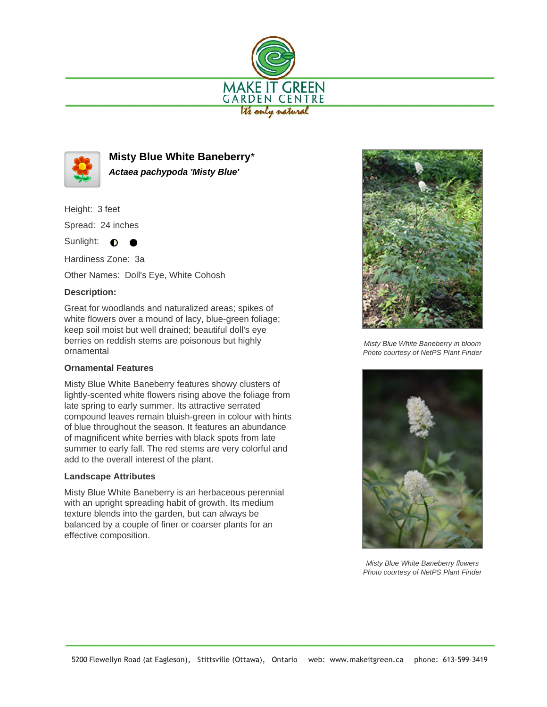



**Misty Blue White Baneberry**\* **Actaea pachypoda 'Misty Blue'**

Height: 3 feet

Spread: 24 inches

Sunlight:  $\bullet$ 

Hardiness Zone: 3a

Other Names: Doll's Eye, White Cohosh

## **Description:**

Great for woodlands and naturalized areas; spikes of white flowers over a mound of lacy, blue-green foliage; keep soil moist but well drained; beautiful doll's eye berries on reddish stems are poisonous but highly ornamental

## **Ornamental Features**

Misty Blue White Baneberry features showy clusters of lightly-scented white flowers rising above the foliage from late spring to early summer. Its attractive serrated compound leaves remain bluish-green in colour with hints of blue throughout the season. It features an abundance of magnificent white berries with black spots from late summer to early fall. The red stems are very colorful and add to the overall interest of the plant.

## **Landscape Attributes**

Misty Blue White Baneberry is an herbaceous perennial with an upright spreading habit of growth. Its medium texture blends into the garden, but can always be balanced by a couple of finer or coarser plants for an effective composition.



Misty Blue White Baneberry in bloom Photo courtesy of NetPS Plant Finder



Misty Blue White Baneberry flowers Photo courtesy of NetPS Plant Finder